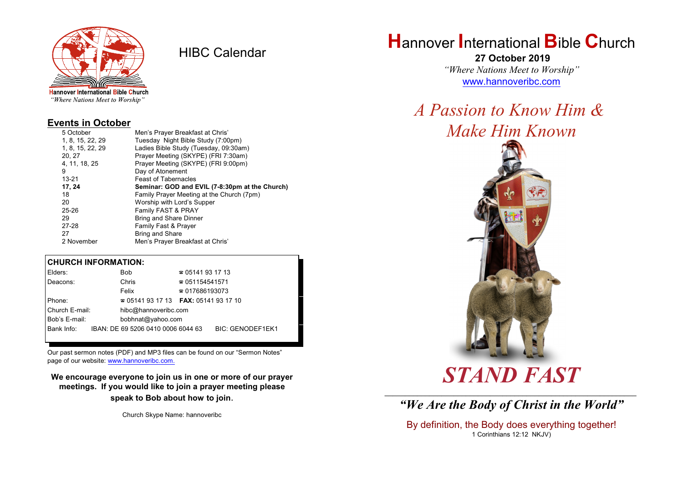

HIBC Calendar

"Where Nations Meet to Worship"

#### **Events in October**

| 5 October        | Men's Prayer Breakfast at Chris'               |  |  |
|------------------|------------------------------------------------|--|--|
| 1, 8, 15, 22, 29 | Tuesday Night Bible Study (7:00pm)             |  |  |
| 1, 8, 15, 22, 29 | Ladies Bible Study (Tuesday, 09:30am)          |  |  |
| 20, 27           | Prayer Meeting (SKYPE) (FRI 7:30am)            |  |  |
| 4, 11, 18, 25    | Prayer Meeting (SKYPE) (FRI 9:00pm)            |  |  |
| 9                | Day of Atonement                               |  |  |
| $13 - 21$        | <b>Feast of Tabernacles</b>                    |  |  |
| 17, 24           | Seminar: GOD and EVIL (7-8:30pm at the Church) |  |  |
| 18               | Family Prayer Meeting at the Church (7pm)      |  |  |
| 20               | Worship with Lord's Supper                     |  |  |
| $25 - 26$        | Family FAST & PRAY                             |  |  |
| 29               | <b>Bring and Share Dinner</b>                  |  |  |
| 27-28            | Family Fast & Prayer                           |  |  |
| 27               | <b>Bring and Share</b>                         |  |  |
| 2 November       | Men's Prayer Breakfast at Chris'               |  |  |

#### **CHURCH INFORMATION:**

| Elders:        | <b>Bob</b>                               | $\approx 05141931713$  |                         |  |
|----------------|------------------------------------------|------------------------|-------------------------|--|
| Deacons:       | Chris                                    | ☎ 051154541571         |                         |  |
|                | Felix                                    | $\approx 017686193073$ |                         |  |
| Phone:         | $\approx 05141931713$ FAX: 0514193 17 10 |                        |                         |  |
| Church E-mail: | hibc@hannoveribc.com                     |                        |                         |  |
| Bob's E-mail:  | bobhnat@yahoo.com                        |                        |                         |  |
| Bank Info:     | IBAN: DE 69 5206 0410 0006 6044 63       |                        | <b>BIC: GENODEF1EK1</b> |  |
|                |                                          |                        |                         |  |

Our past sermon notes (PDF) and MP3 files can be found on our "Sermon Notes" page of our website: [www.hannoveribc.com.](http://www.hannoveribc.com.)

**We encourage everyone to join us in one or more of our prayer meetings. If you would like to join a prayer meeting please speak to Bob about how to join**.

Church Skype Name: hannoveribc

# **H**annover **I**nternational **B**ible **C**hurch

 **27 October 2019** *"Where Nations Meet to Worship"* [www.hannoveribc.com](http://www.hannoveribc.com)

## *A Passion to Know Him & Make Him Known*



# *STAND FAST*

\_\_\_\_\_\_\_\_\_\_\_\_\_\_\_\_\_\_\_\_\_\_\_\_\_\_\_\_\_\_\_\_\_\_\_\_\_\_\_\_\_\_\_\_\_\_\_\_\_\_\_\_\_\_\_\_\_\_\_\_\_\_ *"We Are the Body of Christ in the World"*

By definition, the Body does everything together! 1 Corinthians 12:12 NKJV)